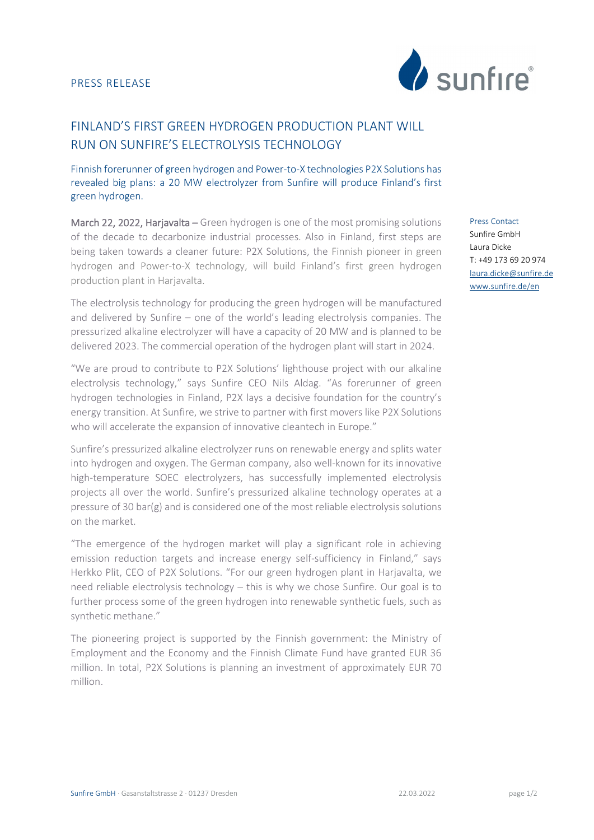

## FINLAND'S FIRST GREEN HYDROGEN PRODUCTION PLANT WILL RUN ON SUNFIRE'S ELECTROLYSIS TECHNOLOGY

Finnish forerunner of green hydrogen and Power-to-X technologies P2X Solutions has revealed big plans: a 20 MW electrolyzer from Sunfire will produce Finland's first green hydrogen.

March 22, 2022, Harjavalta – Green hydrogen is one of the most promising solutions of the decade to decarbonize industrial processes. Also in Finland, first steps are being taken towards a cleaner future: P2X Solutions, the Finnish pioneer in green hydrogen and Power-to-X technology, will build Finland's first green hydrogen production plant in Harjavalta.

The electrolysis technology for producing the green hydrogen will be manufactured and delivered by Sunfire – one of the world's leading electrolysis companies. The pressurized alkaline electrolyzer will have a capacity of 20 MW and is planned to be delivered 2023. The commercial operation of the hydrogen plant will start in 2024.

"We are proud to contribute to P2X Solutions' lighthouse project with our alkaline electrolysis technology," says Sunfire CEO Nils Aldag. "As forerunner of green hydrogen technologies in Finland, P2X lays a decisive foundation for the country's energy transition. At Sunfire, we strive to partner with first movers like P2X Solutions who will accelerate the expansion of innovative cleantech in Europe."

Sunfire's pressurized alkaline electrolyzer runs on renewable energy and splits water into hydrogen and oxygen. The German company, also well-known for its innovative high-temperature SOEC electrolyzers, has successfully implemented electrolysis projects all over the world. Sunfire's pressurized alkaline technology operates at a pressure of 30 bar(g) and is considered one of the most reliable electrolysis solutions on the market.

"The emergence of the hydrogen market will play a significant role in achieving emission reduction targets and increase energy self-sufficiency in Finland," says Herkko Plit, CEO of P2X Solutions. "For our green hydrogen plant in Harjavalta, we need reliable electrolysis technology – this is why we chose Sunfire. Our goal is to further process some of the green hydrogen into renewable synthetic fuels, such as synthetic methane."

The pioneering project is supported by the Finnish government: the Ministry of Employment and the Economy and the Finnish Climate Fund have granted EUR 36 million. In total, P2X Solutions is planning an investment of approximately EUR 70 million.

Press Contact Sunfire GmbH Laura Dicke T: +49 173 69 20 974 [laura.dicke@sunfire.de](mailto:laura.dicke@sunfire.de) www.sunfire.de/en